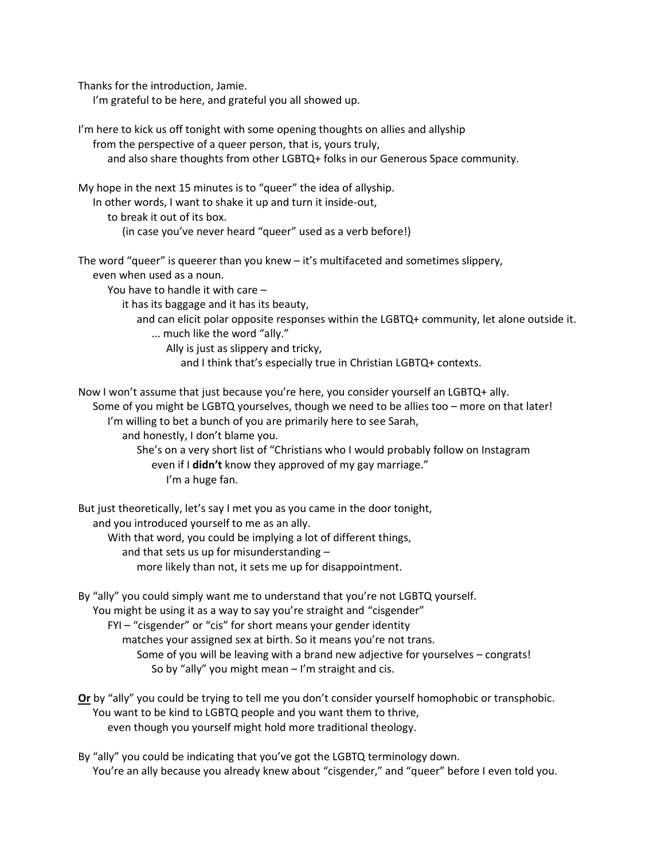Thanks for the introduction, Jamie.

I'm grateful to be here, and grateful you all showed up.

I'm here to kick us off tonight with some opening thoughts on allies and allyship from the perspective of a queer person, that is, yours truly,

and also share thoughts from other LGBTQ+ folks in our Generous Space community.

My hope in the next 15 minutes is to "queer" the idea of allyship.

In other words, I want to shake it up and turn it inside-out,

to break it out of its box.

(in case you've never heard "queer" used as a verb before!)

The word "queer" is queerer than you knew – it's multifaceted and sometimes slippery,

even when used as a noun.

You have to handle it with care –

it has its baggage and it has its beauty,

and can elicit polar opposite responses within the LGBTQ+ community, let alone outside it.

... much like the word "ally."

Ally is just as slippery and tricky,

and I think that's especially true in Christian LGBTQ+ contexts.

Now I won't assume that just because you're here, you consider yourself an LGBTQ+ ally. Some of you might be LGBTQ yourselves, though we need to be allies too – more on that later!

I'm willing to bet a bunch of you are primarily here to see Sarah,

and honestly, I don't blame you.

She's on a very short list of "Christians who I would probably follow on Instagram even if I **didn't** know they approved of my gay marriage."

I'm a huge fan.

But just theoretically, let's say I met you as you came in the door tonight, and you introduced yourself to me as an ally.

With that word, you could be implying a lot of different things,

and that sets us up for misunderstanding –

more likely than not, it sets me up for disappointment.

By "ally" you could simply want me to understand that you're not LGBTQ yourself. You might be using it as a way to say you're straight and "cisgender"

FYI – "cisgender" or "cis" for short means your gender identity

matches your assigned sex at birth. So it means you're not trans.

Some of you will be leaving with a brand new adjective for yourselves – congrats!

So by "ally" you might mean  $-1$ 'm straight and cis.

**Or** by "ally" you could be trying to tell me you don't consider yourself homophobic or transphobic. You want to be kind to LGBTQ people and you want them to thrive, even though you yourself might hold more traditional theology.

By "ally" you could be indicating that you've got the LGBTQ terminology down. You're an ally because you already knew about "cisgender," and "queer" before I even told you.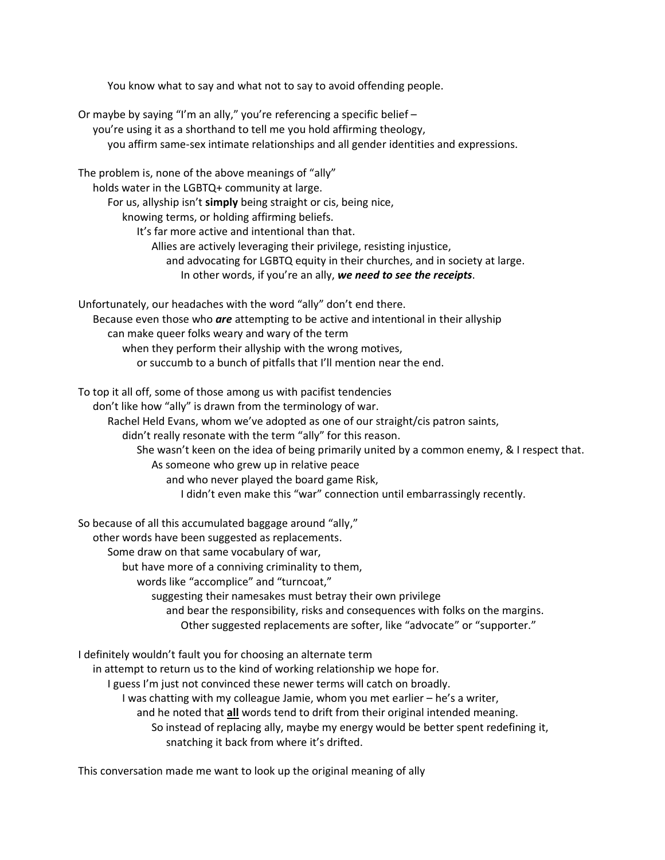You know what to say and what not to say to avoid offending people.

Or maybe by saying "I'm an ally," you're referencing a specific belief – you're using it as a shorthand to tell me you hold affirming theology, you affirm same-sex intimate relationships and all gender identities and expressions. The problem is, none of the above meanings of "ally" holds water in the LGBTQ+ community at large. For us, allyship isn't **simply** being straight or cis, being nice, knowing terms, or holding affirming beliefs. It's far more active and intentional than that. Allies are actively leveraging their privilege, resisting injustice, and advocating for LGBTQ equity in their churches, and in society at large. In other words, if you're an ally, *we need to see the receipts*. Unfortunately, our headaches with the word "ally" don't end there. Because even those who *are* attempting to be active and intentional in their allyship can make queer folks weary and wary of the term when they perform their allyship with the wrong motives, or succumb to a bunch of pitfalls that I'll mention near the end. To top it all off, some of those among us with pacifist tendencies don't like how "ally" is drawn from the terminology of war. Rachel Held Evans, whom we've adopted as one of our straight/cis patron saints, didn't really resonate with the term "ally" for this reason. She wasn't keen on the idea of being primarily united by a common enemy, & I respect that. As someone who grew up in relative peace and who never played the board game Risk, I didn't even make this "war" connection until embarrassingly recently. So because of all this accumulated baggage around "ally," other words have been suggested as replacements. Some draw on that same vocabulary of war,

but have more of a conniving criminality to them,

words like "accomplice" and "turncoat,"

suggesting their namesakes must betray their own privilege

and bear the responsibility, risks and consequences with folks on the margins. Other suggested replacements are softer, like "advocate" or "supporter."

I definitely wouldn't fault you for choosing an alternate term

in attempt to return us to the kind of working relationship we hope for.

I guess I'm just not convinced these newer terms will catch on broadly.

I was chatting with my colleague Jamie, whom you met earlier – he's a writer,

and he noted that **all** words tend to drift from their original intended meaning.

So instead of replacing ally, maybe my energy would be better spent redefining it, snatching it back from where it's drifted.

This conversation made me want to look up the original meaning of ally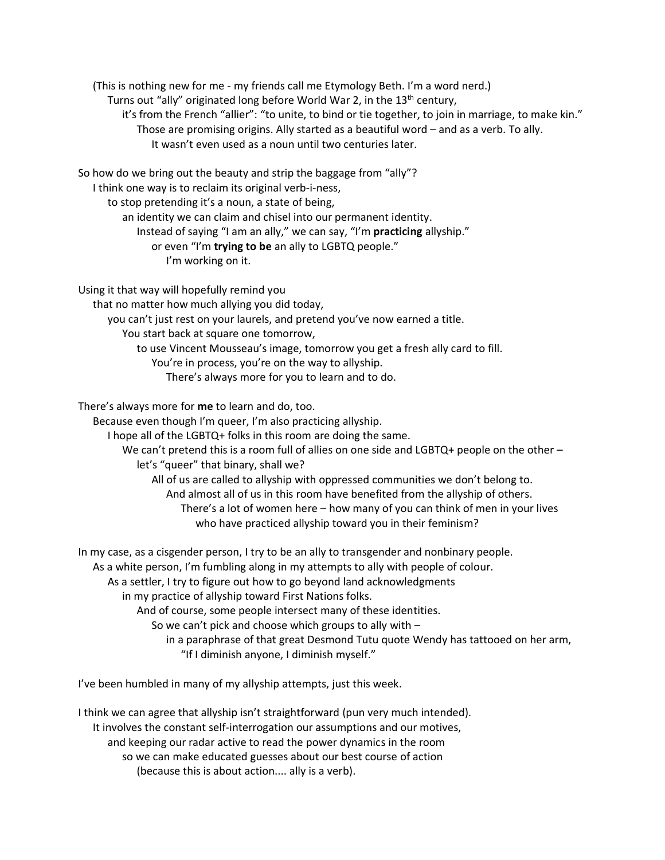(This is nothing new for me - my friends call me Etymology Beth. I'm a word nerd.) Turns out "ally" originated long before World War 2, in the 13<sup>th</sup> century, it's from the French "allier": "to unite, to bind or tie together, to join in marriage, to make kin." Those are promising origins. Ally started as a beautiful word – and as a verb. To ally. It wasn't even used as a noun until two centuries later.

So how do we bring out the beauty and strip the baggage from "ally"?

I think one way is to reclaim its original verb-i-ness,

to stop pretending it's a noun, a state of being,

an identity we can claim and chisel into our permanent identity.

Instead of saying "I am an ally," we can say, "I'm **practicing** allyship."

or even "I'm **trying to be** an ally to LGBTQ people."

I'm working on it.

Using it that way will hopefully remind you

that no matter how much allying you did today,

you can't just rest on your laurels, and pretend you've now earned a title.

You start back at square one tomorrow,

to use Vincent Mousseau's image, tomorrow you get a fresh ally card to fill.

You're in process, you're on the way to allyship.

There's always more for you to learn and to do.

There's always more for **me** to learn and do, too.

Because even though I'm queer, I'm also practicing allyship.

I hope all of the LGBTQ+ folks in this room are doing the same.

We can't pretend this is a room full of allies on one side and LGBTQ+ people on the other – let's "queer" that binary, shall we?

All of us are called to allyship with oppressed communities we don't belong to. And almost all of us in this room have benefited from the allyship of others. There's a lot of women here – how many of you can think of men in your lives who have practiced allyship toward you in their feminism?

In my case, as a cisgender person, I try to be an ally to transgender and nonbinary people.

As a white person, I'm fumbling along in my attempts to ally with people of colour.

As a settler, I try to figure out how to go beyond land acknowledgments

in my practice of allyship toward First Nations folks.

And of course, some people intersect many of these identities.

So we can't pick and choose which groups to ally with –

in a paraphrase of that great Desmond Tutu quote Wendy has tattooed on her arm, "If I diminish anyone, I diminish myself."

I've been humbled in many of my allyship attempts, just this week.

I think we can agree that allyship isn't straightforward (pun very much intended). It involves the constant self-interrogation our assumptions and our motives, and keeping our radar active to read the power dynamics in the room so we can make educated guesses about our best course of action (because this is about action.... ally is a verb).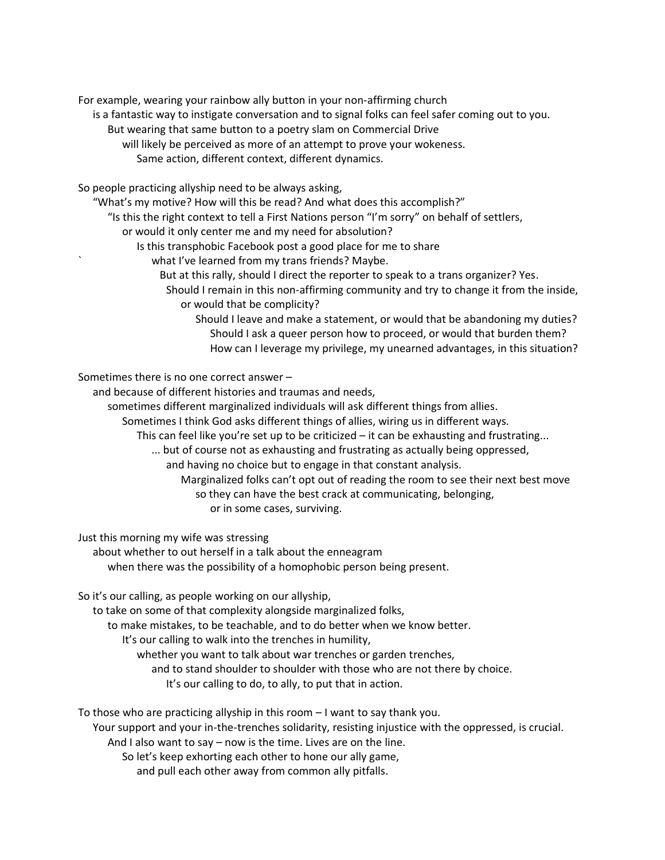For example, wearing your rainbow ally button in your non-affirming church

- is a fantastic way to instigate conversation and to signal folks can feel safer coming out to you.
	- But wearing that same button to a poetry slam on Commercial Drive
		- will likely be perceived as more of an attempt to prove your wokeness.
			- Same action, different context, different dynamics.

So people practicing allyship need to be always asking,

- "What's my motive? How will this be read? And what does this accomplish?"
	- "Is this the right context to tell a First Nations person "I'm sorry" on behalf of settlers,
		- or would it only center me and my need for absolution?
			- Is this transphobic Facebook post a good place for me to share
				- what I've learned from my trans friends? Maybe.
					- But at this rally, should I direct the reporter to speak to a trans organizer? Yes.
						- Should I remain in this non-affirming community and try to change it from the inside, or would that be complicity?
							- Should I leave and make a statement, or would that be abandoning my duties? Should I ask a queer person how to proceed, or would that burden them? How can I leverage my privilege, my unearned advantages, in this situation?

Sometimes there is no one correct answer –

and because of different histories and traumas and needs,

- sometimes different marginalized individuals will ask different things from allies.
	- Sometimes I think God asks different things of allies, wiring us in different ways.
		- This can feel like you're set up to be criticized it can be exhausting and frustrating...
			- ... but of course not as exhausting and frustrating as actually being oppressed,
				- and having no choice but to engage in that constant analysis.
					- Marginalized folks can't opt out of reading the room to see their next best move so they can have the best crack at communicating, belonging, or in some cases, surviving.

Just this morning my wife was stressing

about whether to out herself in a talk about the enneagram when there was the possibility of a homophobic person being present.

So it's our calling, as people working on our allyship,

to take on some of that complexity alongside marginalized folks,

to make mistakes, to be teachable, and to do better when we know better.

It's our calling to walk into the trenches in humility,

whether you want to talk about war trenches or garden trenches,

and to stand shoulder to shoulder with those who are not there by choice.

It's our calling to do, to ally, to put that in action.

To those who are practicing allyship in this room – I want to say thank you.

Your support and your in-the-trenches solidarity, resisting injustice with the oppressed, is crucial.

And I also want to say – now is the time. Lives are on the line.

So let's keep exhorting each other to hone our ally game,

and pull each other away from common ally pitfalls.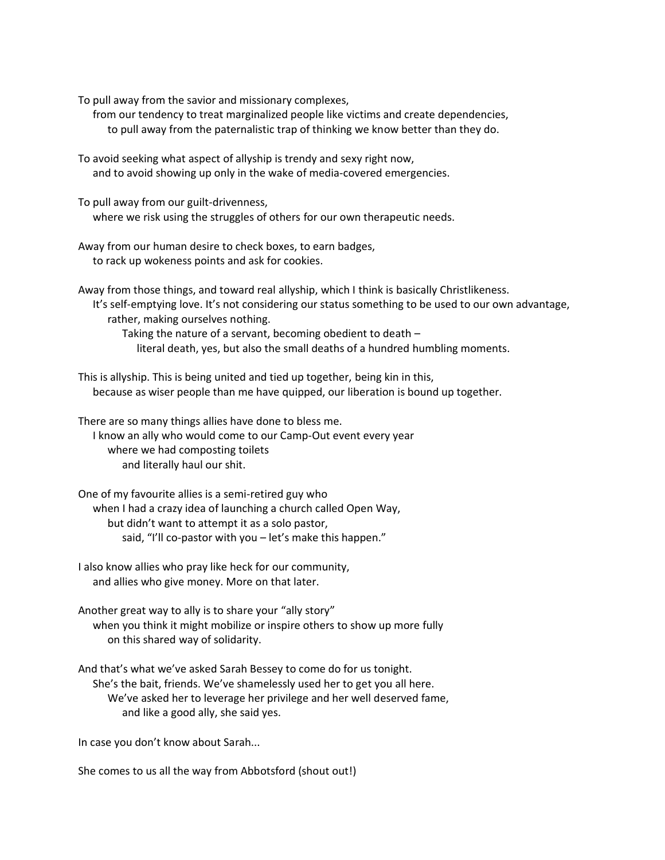To pull away from the savior and missionary complexes,

from our tendency to treat marginalized people like victims and create dependencies, to pull away from the paternalistic trap of thinking we know better than they do.

To avoid seeking what aspect of allyship is trendy and sexy right now, and to avoid showing up only in the wake of media-covered emergencies.

To pull away from our guilt-drivenness, where we risk using the struggles of others for our own therapeutic needs.

Away from our human desire to check boxes, to earn badges, to rack up wokeness points and ask for cookies.

Away from those things, and toward real allyship, which I think is basically Christlikeness. It's self-emptying love. It's not considering our status something to be used to our own advantage, rather, making ourselves nothing.

Taking the nature of a servant, becoming obedient to death –

literal death, yes, but also the small deaths of a hundred humbling moments.

This is allyship. This is being united and tied up together, being kin in this, because as wiser people than me have quipped, our liberation is bound up together.

There are so many things allies have done to bless me. I know an ally who would come to our Camp-Out event every year where we had composting toilets and literally haul our shit.

One of my favourite allies is a semi-retired guy who when I had a crazy idea of launching a church called Open Way, but didn't want to attempt it as a solo pastor, said, "I'll co-pastor with you – let's make this happen."

I also know allies who pray like heck for our community, and allies who give money. More on that later.

Another great way to ally is to share your "ally story" when you think it might mobilize or inspire others to show up more fully on this shared way of solidarity.

And that's what we've asked Sarah Bessey to come do for us tonight. She's the bait, friends. We've shamelessly used her to get you all here. We've asked her to leverage her privilege and her well deserved fame, and like a good ally, she said yes.

In case you don't know about Sarah...

She comes to us all the way from Abbotsford (shout out!)